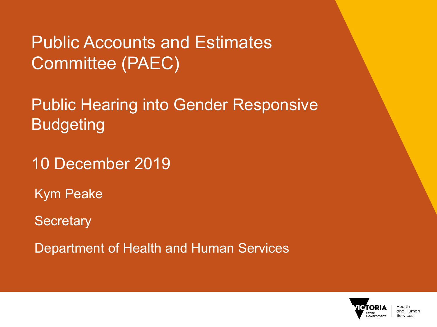Public Accounts and Estimates Committee (PAEC)

Public Hearing into Gender Responsive **Budgeting** 

10 December 2019

Kym Peake

**Secretary** 

Department of Health and Human Services

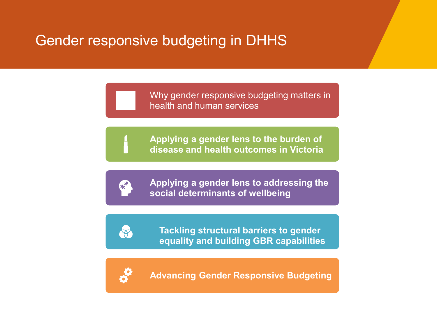# Gender responsive budgeting in DHHS

Why gender responsive budgeting matters in health and human services

**Applying a gender lens to the burden of disease and health outcomes in Victoria**



budgeting in

**Applying a gender lens to addressing the social determinants of wellbeing**



**Tackling structural barriers to gender equality and building GBR capabilities**



**Advancing Gender Responsive Budgeting**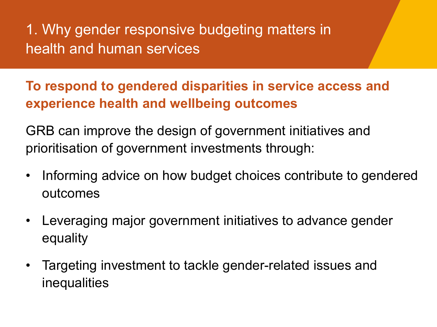1. Why gender responsive budgeting matters in health and human services

**To respond to gendered disparities in service access and experience health and wellbeing outcomes** 

GRB can improve the design of government initiatives and prioritisation of government investments through:

- Informing advice on how budget choices contribute to gendered outcomes
- Leveraging major government initiatives to advance gender equality
- Targeting investment to tackle gender-related issues and inequalities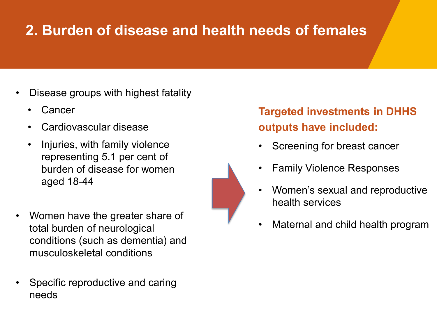# **2. Burden of disease and health needs of females**

- Disease groups with highest fatality
	- **Cancer**
	- Cardiovascular disease
	- Injuries, with family violence representing 5.1 per cent of burden of disease for women aged 18-44
- Women have the greater share of total burden of neurological conditions (such as dementia) and musculoskeletal conditions
- Specific reproductive and caring needs

## **Targeted investments in DHHS outputs have included:**

- Screening for breast cancer
- Family Violence Responses
- Women's sexual and reproductive health services
- Maternal and child health program

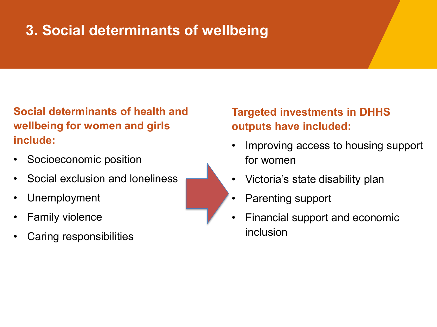# **3. Social determinants of wellbeing**

**Social determinants of health and wellbeing for women and girls include:**

- Socioeconomic position
- Social exclusion and loneliness
- Unemployment
- **Family violence**
- Caring responsibilities

**Targeted investments in DHHS outputs have included:**

- Improving access to housing support for women
- Victoria's state disability plan
- Parenting support
- Financial support and economic inclusion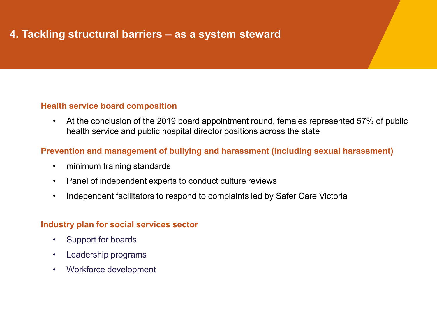### **4. Tackling structural barriers – as a system steward**

#### **Health service board composition**

• At the conclusion of the 2019 board appointment round, females represented 57% of public health service and public hospital director positions across the state

#### **Prevention and management of bullying and harassment (including sexual harassment)**

- minimum training standards
- Panel of independent experts to conduct culture reviews
- Independent facilitators to respond to complaints led by Safer Care Victoria

#### **Industry plan for social services sector**

- Support for boards
- Leadership programs
- Workforce development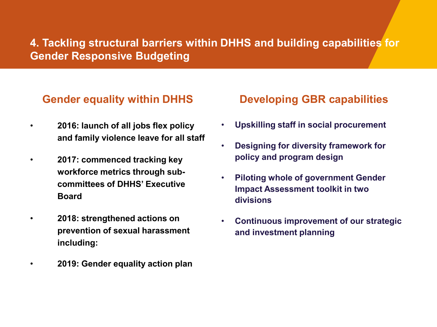## **4. Tackling structural barriers within DHHS and building capabilities for Gender Responsive Budgeting**

## **Gender equality within DHHS**

- **2016: launch of all jobs flex policy and family violence leave for all staff**
- **2017: commenced tracking key workforce metrics through subcommittees of DHHS' Executive Board**
- **2018: strengthened actions on prevention of sexual harassment including:**
	- **2019: Gender equality action plan**

### **Developing GBR capabilities**

- **Upskilling staff in social procurement**
- **Designing for diversity framework for policy and program design**
- **Piloting whole of government Gender Impact Assessment toolkit in two divisions**
- **Continuous improvement of our strategic and investment planning**